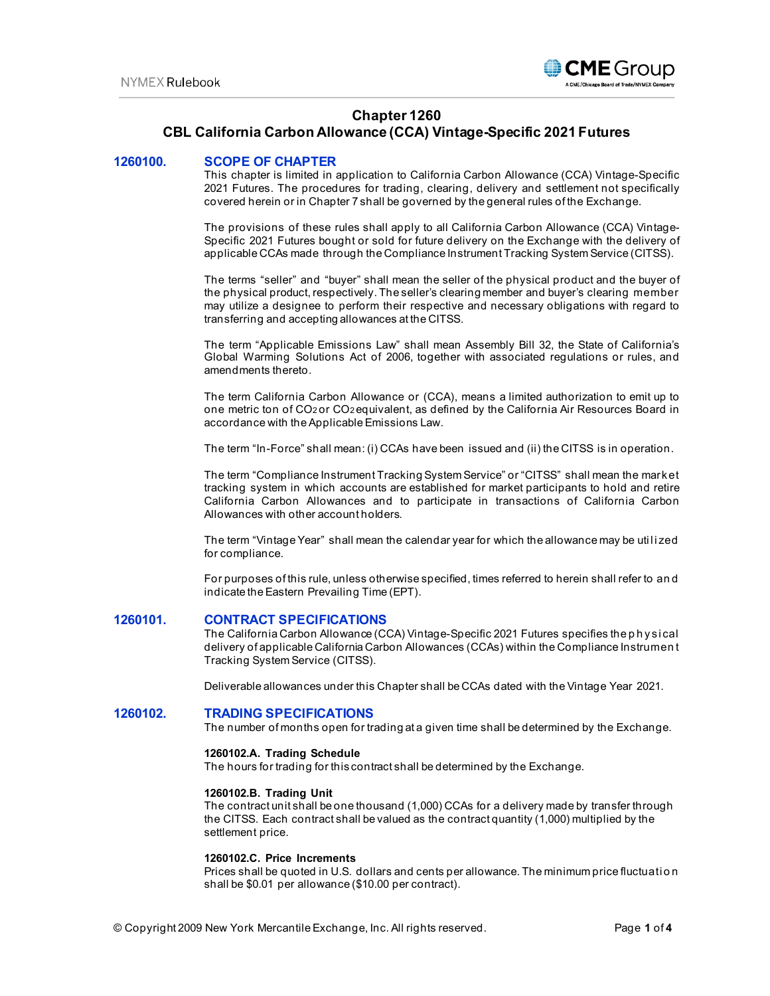

# **Chapter 1260**

# **CBL California Carbon Allowance (CCA) Vintage-Specific 2021 Futures**

# **1260100. SCOPE OF CHAPTER**

This chapter is limited in application to California Carbon Allowance (CCA) Vintage-Specific 2021 Futures. The procedures for trading, clearing, delivery and settlement not specifically covered herein or in Chapter 7 shall be governed by the general rules of the Exchange.

The provisions of these rules shall apply to all California Carbon Allowance (CCA) Vintage-Specific 2021 Futures bought or sold for future delivery on the Exchange with the delivery of applicable CCAs made through the Compliance Instrument Tracking System Service (CITSS).

The terms "seller" and "buyer" shall mean the seller of the physical product and the buyer of the physical product, respectively. The seller's clearing member and buyer's clearing member may utilize a designee to perform their respective and necessary obligations with regard to transferring and accepting allowances at the CITSS.

The term "Applicable Emissions Law" shall mean Assembly Bill 32, the State of California's Global Warming Solutions Act of 2006, together with associated regulations or rules, and amendments thereto.

The term California Carbon Allowance or (CCA), means a limited authorization to emit up to one metric ton of CO2 or CO2 equivalent, as defined by the California Air Resources Board in accordance with the Applicable Emissions Law.

The term "In-Force" shall mean: (i) CCAs have been issued and (ii) the CITSS is in operation.

The term "Compliance Instrument Tracking System Service" or "CITSS" shall mean the market tracking system in which accounts are established for market participants to hold and retire California Carbon Allowances and to participate in transactions of California Carbon Allowances with other account holders.

The term "Vintage Year" shall mean the calendar year for which the allowance may be utilized for compliance.

For purposes of this rule, unless otherwise specified, times referred to herein shall refer to an d indicate the Eastern Prevailing Time (EPT).

### **1260101. CONTRACT SPECIFICATIONS**

The California Carbon Allowance (CCA) Vintage-Specific 2021 Futures specifies the p h ysi cal delivery of applicable California Carbon Allowances (CCAs) within the Compliance Instrumen t Tracking System Service (CITSS).

Deliverable allowances under this Chapter shall be CCAs dated with the Vintage Year 2021.

#### **1260102. TRADING SPECIFICATIONS**

The number of months open for trading at a given time shall be determined by the Exchange.

### **1260102.A. Trading Schedule**

The hours for trading for this contract shall be determined by the Exchange.

#### **1260102.B. Trading Unit**

The contract unit shall be one thousand (1,000) CCAs for a delivery made by transfer through the CITSS. Each contract shall be valued as the contract quantity (1,000) multiplied by the settlement price.

# **1260102.C. Price Increments**

Prices shall be quoted in U.S. dollars and cents per allowance. The minimum price fluctuation shall be \$0.01 per allowance (\$10.00 per contract).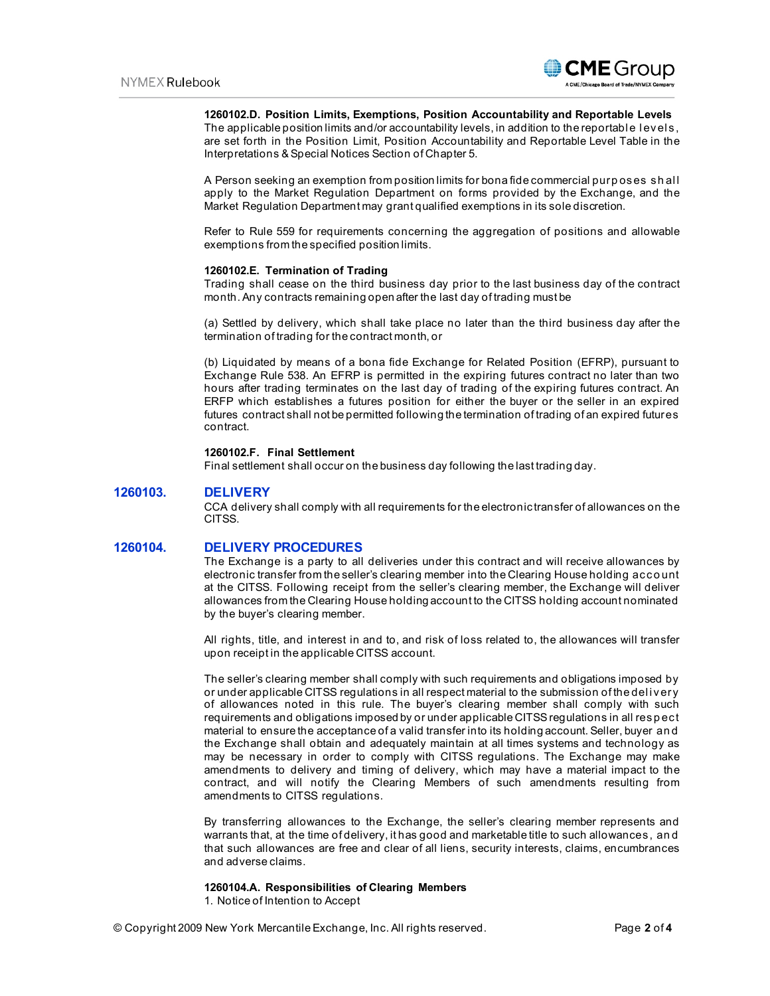

### **1260102.D. Position Limits, Exemptions, Position Accountability and Reportable Levels**

The applicable position limits and/or accountability levels, in addition to the reportable levels, are set forth in the Position Limit, Position Accountability and Reportable Level Table in the Interpretations & Special Notices Section of Chapter 5.

A Person seeking an exemption from position limits for bona fide commercial purposes shall apply to the Market Regulation Department on forms provided by the Exchange, and the Market Regulation Department may grant qualified exemptions in its sole discretion.

Refer to Rule 559 for requirements concerning the aggregation of positions and allowable exemptions from the specified position limits.

#### **1260102.E. Termination of Trading**

Trading shall cease on the third business day prior to the last business day of the contract month. Any contracts remaining open after the last day of trading must be

(a) Settled by delivery, which shall take place no later than the third business day after the termination of trading for the contract month, or

(b) Liquidated by means of a bona fide Exchange for Related Position (EFRP), pursuant to Exchange Rule 538. An EFRP is permitted in the expiring futures contract no later than two hours after trading terminates on the last day of trading of the expiring futures contract. An ERFP which establishes a futures position for either the buyer or the seller in an expired futures contract shall not be permitted following the termination of trading of an expired futures contract.

# **1260102.F. Final Settlement**

Final settlement shall occur on the business day following the last trading day.

# **1260103. DELIVERY**

CCA delivery shall comply with all requirements for the electronic transfer of allowances on the CITSS.

### **1260104. DELIVERY PROCEDURES**

The Exchange is a party to all deliveries under this contract and will receive allowances by electronic transfer from the seller's clearing member into the Clearing House holding acco unt at the CITSS. Following receipt from the seller's clearing member, the Exchange will deliver allowances from the Clearing House holding account to the CITSS holding account nominated by the buyer's clearing member.

All rights, title, and interest in and to, and risk of loss related to, the allowances will transfer upon receipt in the applicable CITSS account.

The seller's clearing member shall comply with such requirements and obligations imposed by or under applicable CITSS regulations in all respect material to the submission of the del i very of allowances noted in this rule. The buyer's clearing member shall comply with such requirements and obligations imposed by or under applicable CITSS regulations in all resp ect material to ensure the acceptance of a valid transfer into its holding account. Seller, buyer an d the Exchange shall obtain and adequately maintain at all times systems and technology as may be necessary in order to comply with CITSS regulations. The Exchange may make amendments to delivery and timing of delivery, which may have a material impact to the contract, and will notify the Clearing Members of such amendments resulting from amendments to CITSS regulations.

By transferring allowances to the Exchange, the seller's clearing member represents and warrants that, at the time of delivery, it has good and marketable title to such allowances, an d that such allowances are free and clear of all liens, security interests, claims, encumbrances and adverse claims.

#### **1260104.A. Responsibilities of Clearing Members**

1. Notice of Intention to Accept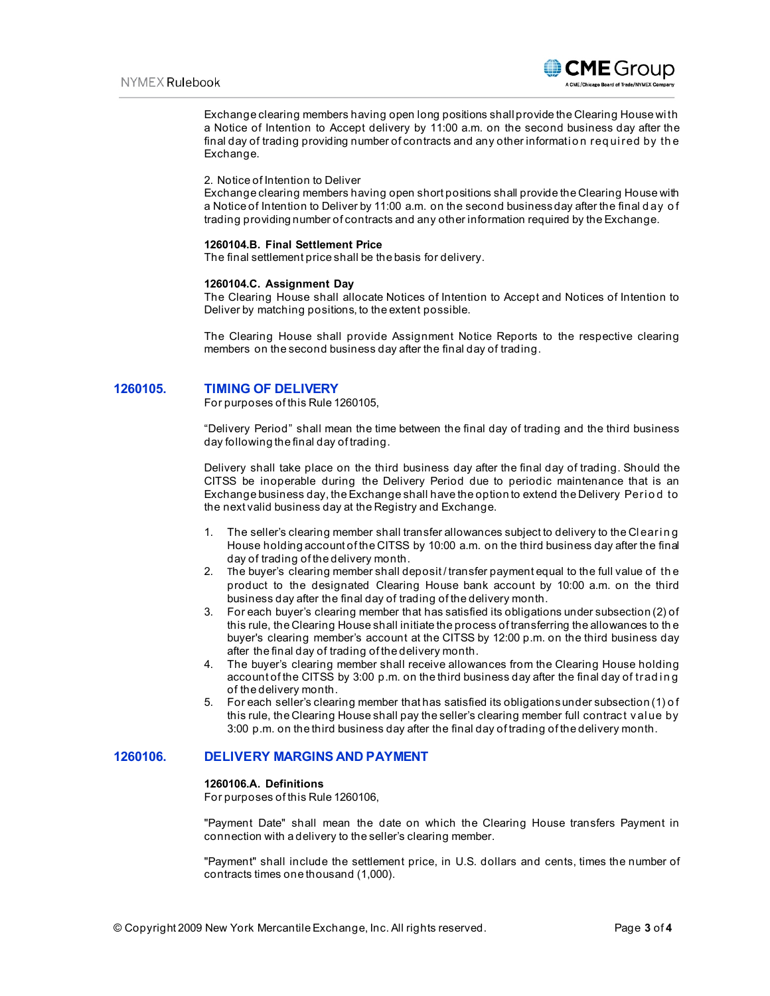

Exchange clearing members having open long positions shall provide the Clearing House wi th a Notice of Intention to Accept delivery by 11:00 a.m. on the second business day after the final day of trading providing number of contracts and any other information required by the Exchange.

#### 2. Notice of Intention to Deliver

Exchange clearing members having open short positions shall provide the Clearing House with a Notice of Intention to Deliver by 11:00 a.m. on the second business day after the final d ay o f trading providing number of contracts and any other information required by the Exchange.

#### **1260104.B. Final Settlement Price**

The final settlement price shall be the basis for delivery.

#### **1260104.C. Assignment Day**

The Clearing House shall allocate Notices of Intention to Accept and Notices of Intention to Deliver by matching positions, to the extent possible.

The Clearing House shall provide Assignment Notice Reports to the respective clearing members on the second business day after the final day of trading.

### **1260105. TIMING OF DELIVERY**

For purposes of this Rule 1260105,

"Delivery Period" shall mean the time between the final day of trading and the third business day following the final day of trading.

Delivery shall take place on the third business day after the final day of trading. Should the CITSS be inoperable during the Delivery Period due to periodic maintenance that is an Exchange business day, the Exchange shall have the option to extend the Delivery Period to the next valid business day at the Registry and Exchange.

- 1. The seller's clearing member shall transfer allowances subject to delivery to the Clearing House holding account of the CITSS by 10:00 a.m. on the third business day after the final day of trading of the delivery month.
- 2. The buyer's clearing member shall deposit / transfer payment equal to the full value of th e product to the designated Clearing House bank account by 10:00 a.m. on the third business day after the final day of trading of the delivery month.
- 3. For each buyer's clearing member that has satisfied its obligations under subsection (2) of this rule, the Clearing House shall initiate the process of transferring the allowances to th e buyer's clearing member's account at the CITSS by 12:00 p.m. on the third business day after the final day of trading of the delivery month.
- 4. The buyer's clearing member shall receive allowances from the Clearing House holding account of the CITSS by 3:00 p.m. on the third business day after the final day of trading of the delivery month.
- 5. For each seller's clearing member that has satisfied its obligations under subsection (1) o f this rule, the Clearing House shall pay the seller's clearing member full contract val ue by 3:00 p.m. on the third business day after the final day of trading of the delivery month.

# **1260106. DELIVERY MARGINS AND PAYMENT**

#### **1260106.A. Definitions**

For purposes of this Rule 1260106,

"Payment Date" shall mean the date on which the Clearing House transfers Payment in connection with a delivery to the seller's clearing member.

"Payment" shall include the settlement price, in U.S. dollars and cents, times the number of contracts times one thousand (1,000).